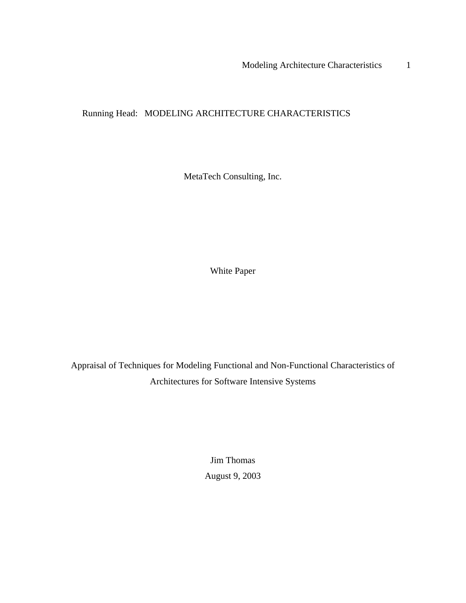Running Head: MODELING ARCHITECTURE CHARACTERISTICS

MetaTech Consulting, Inc.

White Paper

Appraisal of Techniques for Modeling Functional and Non-Functional Characteristics of Architectures for Software Intensive Systems

> Jim Thomas August 9, 2003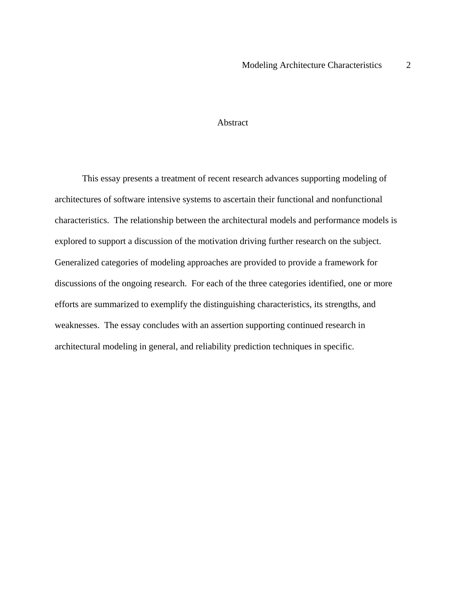### Abstract

This essay presents a treatment of recent research advances supporting modeling of architectures of software intensive systems to ascertain their functional and nonfunctional characteristics. The relationship between the architectural models and performance models is explored to support a discussion of the motivation driving further research on the subject. Generalized categories of modeling approaches are provided to provide a framework for discussions of the ongoing research. For each of the three categories identified, one or more efforts are summarized to exemplify the distinguishing characteristics, its strengths, and weaknesses. The essay concludes with an assertion supporting continued research in architectural modeling in general, and reliability prediction techniques in specific.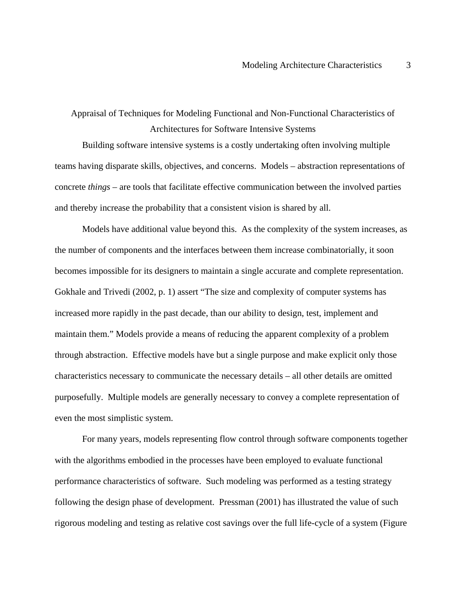Appraisal of Techniques for Modeling Functional and Non-Functional Characteristics of Architectures for Software Intensive Systems

Building software intensive systems is a costly undertaking often involving multiple teams having disparate skills, objectives, and concerns. Models – abstraction representations of concrete *things* – are tools that facilitate effective communication between the involved parties and thereby increase the probability that a consistent vision is shared by all.

Models have additional value beyond this. As the complexity of the system increases, as the number of components and the interfaces between them increase combinatorially, it soon becomes impossible for its designers to maintain a single accurate and complete representation. Gokhale and Trivedi (2002, p. 1) assert "The size and complexity of computer systems has increased more rapidly in the past decade, than our ability to design, test, implement and maintain them." Models provide a means of reducing the apparent complexity of a problem through abstraction. Effective models have but a single purpose and make explicit only those characteristics necessary to communicate the necessary details – all other details are omitted purposefully. Multiple models are generally necessary to convey a complete representation of even the most simplistic system.

For many years, models representing flow control through software components together with the algorithms embodied in the processes have been employed to evaluate functional performance characteristics of software. Such modeling was performed as a testing strategy following the design phase of development. Pressman (2001) has illustrated the value of such rigorous modeling and testing as relative cost savings over the full life-cycle of a system (Figure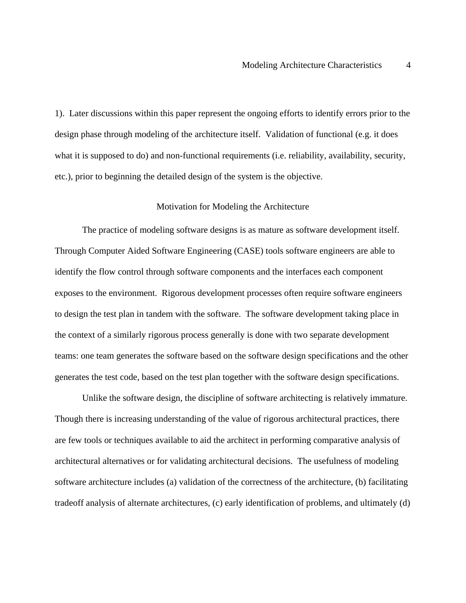1). Later discussions within this paper represent the ongoing efforts to identify errors prior to the design phase through modeling of the architecture itself. Validation of functional (e.g. it does what it is supposed to do) and non-functional requirements (i.e. reliability, availability, security, etc.), prior to beginning the detailed design of the system is the objective.

### Motivation for Modeling the Architecture

The practice of modeling software designs is as mature as software development itself. Through Computer Aided Software Engineering (CASE) tools software engineers are able to identify the flow control through software components and the interfaces each component exposes to the environment. Rigorous development processes often require software engineers to design the test plan in tandem with the software. The software development taking place in the context of a similarly rigorous process generally is done with two separate development teams: one team generates the software based on the software design specifications and the other generates the test code, based on the test plan together with the software design specifications.

Unlike the software design, the discipline of software architecting is relatively immature. Though there is increasing understanding of the value of rigorous architectural practices, there are few tools or techniques available to aid the architect in performing comparative analysis of architectural alternatives or for validating architectural decisions. The usefulness of modeling software architecture includes (a) validation of the correctness of the architecture, (b) facilitating tradeoff analysis of alternate architectures, (c) early identification of problems, and ultimately (d)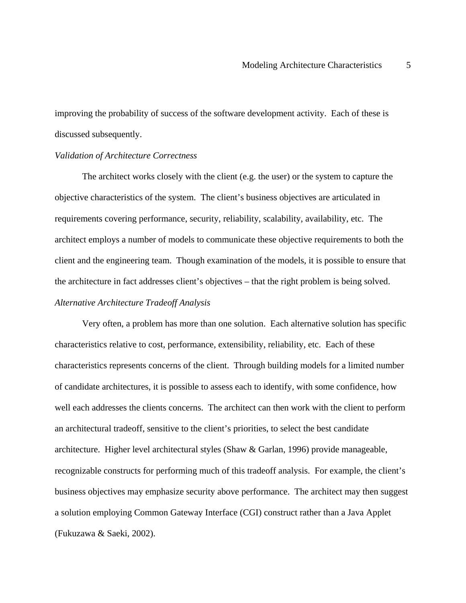improving the probability of success of the software development activity. Each of these is discussed subsequently.

#### *Validation of Architecture Correctness*

The architect works closely with the client (e.g. the user) or the system to capture the objective characteristics of the system. The client's business objectives are articulated in requirements covering performance, security, reliability, scalability, availability, etc. The architect employs a number of models to communicate these objective requirements to both the client and the engineering team. Though examination of the models, it is possible to ensure that the architecture in fact addresses client's objectives – that the right problem is being solved. *Alternative Architecture Tradeoff Analysis* 

Very often, a problem has more than one solution. Each alternative solution has specific characteristics relative to cost, performance, extensibility, reliability, etc. Each of these characteristics represents concerns of the client. Through building models for a limited number of candidate architectures, it is possible to assess each to identify, with some confidence, how well each addresses the clients concerns. The architect can then work with the client to perform an architectural tradeoff, sensitive to the client's priorities, to select the best candidate architecture. Higher level architectural styles (Shaw & Garlan, 1996) provide manageable, recognizable constructs for performing much of this tradeoff analysis. For example, the client's business objectives may emphasize security above performance. The architect may then suggest a solution employing Common Gateway Interface (CGI) construct rather than a Java Applet (Fukuzawa & Saeki, 2002).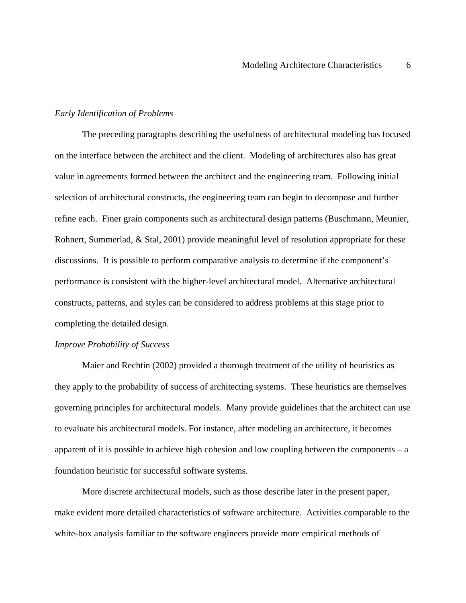### *Early Identification of Problems*

The preceding paragraphs describing the usefulness of architectural modeling has focused on the interface between the architect and the client. Modeling of architectures also has great value in agreements formed between the architect and the engineering team. Following initial selection of architectural constructs, the engineering team can begin to decompose and further refine each. Finer grain components such as architectural design patterns (Buschmann, Meunier, Rohnert, Summerlad, & Stal, 2001) provide meaningful level of resolution appropriate for these discussions. It is possible to perform comparative analysis to determine if the component's performance is consistent with the higher-level architectural model. Alternative architectural constructs, patterns, and styles can be considered to address problems at this stage prior to completing the detailed design.

#### *Improve Probability of Success*

Maier and Rechtin (2002) provided a thorough treatment of the utility of heuristics as they apply to the probability of success of architecting systems. These heuristics are themselves governing principles for architectural models. Many provide guidelines that the architect can use to evaluate his architectural models. For instance, after modeling an architecture, it becomes apparent of it is possible to achieve high cohesion and low coupling between the components  $-a$ foundation heuristic for successful software systems.

More discrete architectural models, such as those describe later in the present paper, make evident more detailed characteristics of software architecture. Activities comparable to the white-box analysis familiar to the software engineers provide more empirical methods of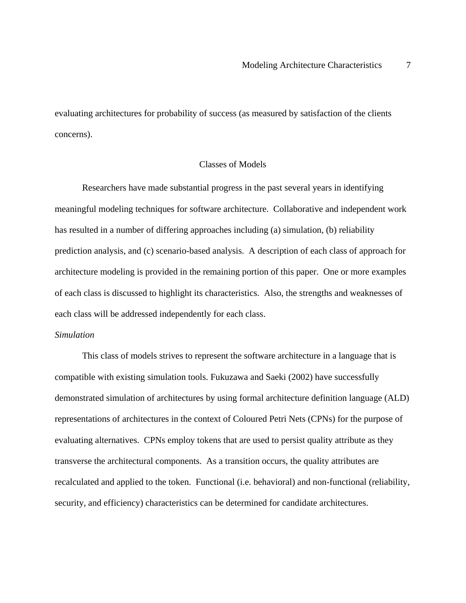evaluating architectures for probability of success (as measured by satisfaction of the clients concerns).

# Classes of Models

Researchers have made substantial progress in the past several years in identifying meaningful modeling techniques for software architecture. Collaborative and independent work has resulted in a number of differing approaches including (a) simulation, (b) reliability prediction analysis, and (c) scenario-based analysis. A description of each class of approach for architecture modeling is provided in the remaining portion of this paper. One or more examples of each class is discussed to highlight its characteristics. Also, the strengths and weaknesses of each class will be addressed independently for each class.

## *Simulation*

This class of models strives to represent the software architecture in a language that is compatible with existing simulation tools. Fukuzawa and Saeki (2002) have successfully demonstrated simulation of architectures by using formal architecture definition language (ALD) representations of architectures in the context of Coloured Petri Nets (CPNs) for the purpose of evaluating alternatives. CPNs employ tokens that are used to persist quality attribute as they transverse the architectural components. As a transition occurs, the quality attributes are recalculated and applied to the token. Functional (i.e. behavioral) and non-functional (reliability, security, and efficiency) characteristics can be determined for candidate architectures.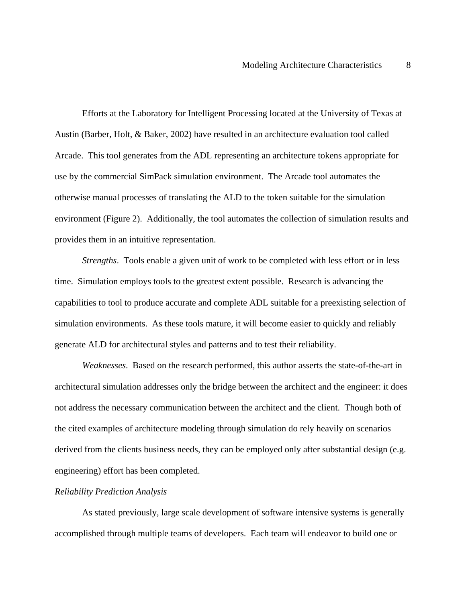Efforts at the Laboratory for Intelligent Processing located at the University of Texas at Austin (Barber, Holt, & Baker, 2002) have resulted in an architecture evaluation tool called Arcade. This tool generates from the ADL representing an architecture tokens appropriate for use by the commercial SimPack simulation environment. The Arcade tool automates the otherwise manual processes of translating the ALD to the token suitable for the simulation environment (Figure 2). Additionally, the tool automates the collection of simulation results and provides them in an intuitive representation.

*Strengths*. Tools enable a given unit of work to be completed with less effort or in less time. Simulation employs tools to the greatest extent possible. Research is advancing the capabilities to tool to produce accurate and complete ADL suitable for a preexisting selection of simulation environments. As these tools mature, it will become easier to quickly and reliably generate ALD for architectural styles and patterns and to test their reliability.

*Weaknesses*. Based on the research performed, this author asserts the state-of-the-art in architectural simulation addresses only the bridge between the architect and the engineer: it does not address the necessary communication between the architect and the client. Though both of the cited examples of architecture modeling through simulation do rely heavily on scenarios derived from the clients business needs, they can be employed only after substantial design (e.g. engineering) effort has been completed.

## *Reliability Prediction Analysis*

As stated previously, large scale development of software intensive systems is generally accomplished through multiple teams of developers. Each team will endeavor to build one or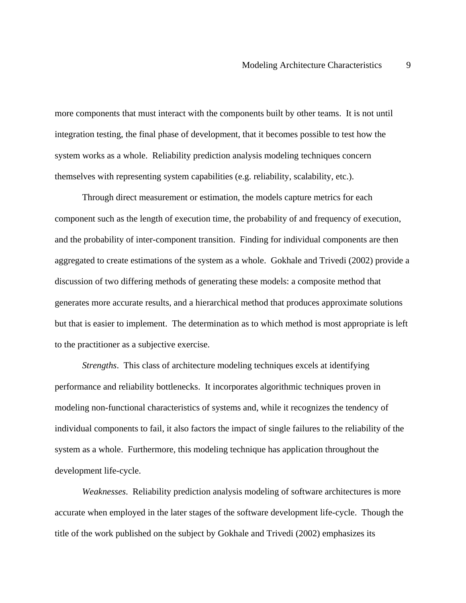more components that must interact with the components built by other teams. It is not until integration testing, the final phase of development, that it becomes possible to test how the system works as a whole. Reliability prediction analysis modeling techniques concern themselves with representing system capabilities (e.g. reliability, scalability, etc.).

Through direct measurement or estimation, the models capture metrics for each component such as the length of execution time, the probability of and frequency of execution, and the probability of inter-component transition. Finding for individual components are then aggregated to create estimations of the system as a whole. Gokhale and Trivedi (2002) provide a discussion of two differing methods of generating these models: a composite method that generates more accurate results, and a hierarchical method that produces approximate solutions but that is easier to implement. The determination as to which method is most appropriate is left to the practitioner as a subjective exercise.

*Strengths*. This class of architecture modeling techniques excels at identifying performance and reliability bottlenecks. It incorporates algorithmic techniques proven in modeling non-functional characteristics of systems and, while it recognizes the tendency of individual components to fail, it also factors the impact of single failures to the reliability of the system as a whole. Furthermore, this modeling technique has application throughout the development life-cycle.

*Weaknesses*. Reliability prediction analysis modeling of software architectures is more accurate when employed in the later stages of the software development life-cycle. Though the title of the work published on the subject by Gokhale and Trivedi (2002) emphasizes its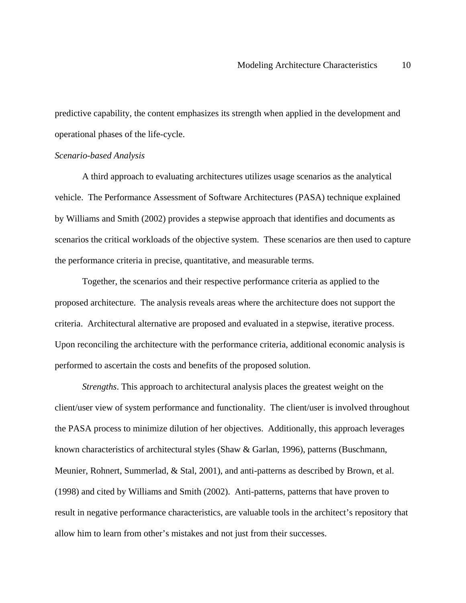predictive capability, the content emphasizes its strength when applied in the development and operational phases of the life-cycle.

### *Scenario-based Analysis*

A third approach to evaluating architectures utilizes usage scenarios as the analytical vehicle. The Performance Assessment of Software Architectures (PASA) technique explained by Williams and Smith (2002) provides a stepwise approach that identifies and documents as scenarios the critical workloads of the objective system. These scenarios are then used to capture the performance criteria in precise, quantitative, and measurable terms.

Together, the scenarios and their respective performance criteria as applied to the proposed architecture. The analysis reveals areas where the architecture does not support the criteria. Architectural alternative are proposed and evaluated in a stepwise, iterative process. Upon reconciling the architecture with the performance criteria, additional economic analysis is performed to ascertain the costs and benefits of the proposed solution.

*Strengths*. This approach to architectural analysis places the greatest weight on the client/user view of system performance and functionality. The client/user is involved throughout the PASA process to minimize dilution of her objectives. Additionally, this approach leverages known characteristics of architectural styles (Shaw & Garlan, 1996), patterns (Buschmann, Meunier, Rohnert, Summerlad, & Stal, 2001), and anti-patterns as described by Brown, et al. (1998) and cited by Williams and Smith (2002). Anti-patterns, patterns that have proven to result in negative performance characteristics, are valuable tools in the architect's repository that allow him to learn from other's mistakes and not just from their successes.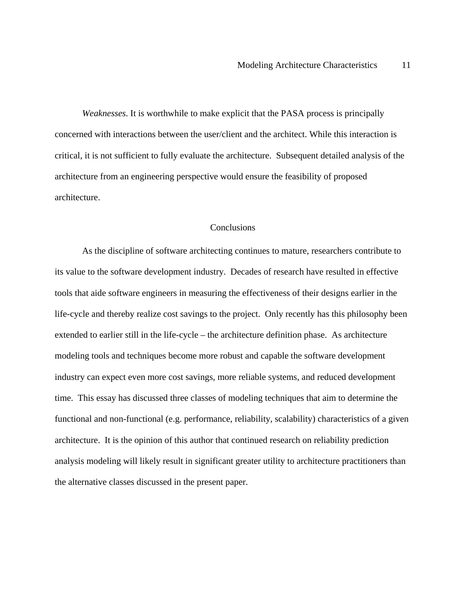*Weaknesses*. It is worthwhile to make explicit that the PASA process is principally concerned with interactions between the user/client and the architect. While this interaction is critical, it is not sufficient to fully evaluate the architecture. Subsequent detailed analysis of the architecture from an engineering perspective would ensure the feasibility of proposed architecture.

## **Conclusions**

As the discipline of software architecting continues to mature, researchers contribute to its value to the software development industry. Decades of research have resulted in effective tools that aide software engineers in measuring the effectiveness of their designs earlier in the life-cycle and thereby realize cost savings to the project. Only recently has this philosophy been extended to earlier still in the life-cycle – the architecture definition phase. As architecture modeling tools and techniques become more robust and capable the software development industry can expect even more cost savings, more reliable systems, and reduced development time. This essay has discussed three classes of modeling techniques that aim to determine the functional and non-functional (e.g. performance, reliability, scalability) characteristics of a given architecture. It is the opinion of this author that continued research on reliability prediction analysis modeling will likely result in significant greater utility to architecture practitioners than the alternative classes discussed in the present paper.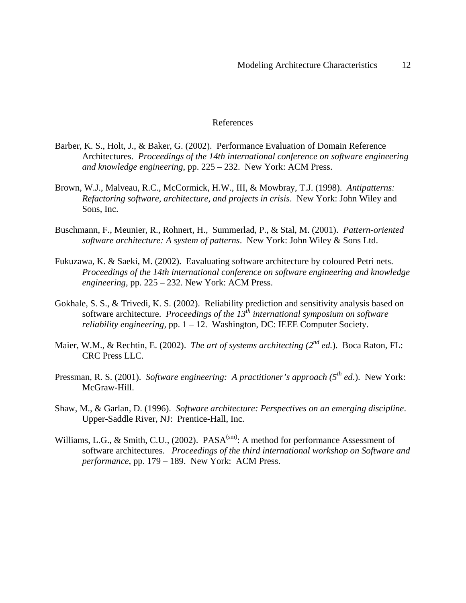### References

- Barber, K. S., Holt, J., & Baker, G. (2002). Performance Evaluation of Domain Reference Architectures. *Proceedings of the 14th international conference on software engineering and knowledge engineering*, pp. 225 – 232. New York: ACM Press.
- Brown, W.J., Malveau, R.C., McCormick, H.W., III, & Mowbray, T.J. (1998). *Antipatterns: Refactoring software, architecture, and projects in crisis*. New York: John Wiley and Sons, Inc.
- Buschmann, F., Meunier, R., Rohnert, H., Summerlad, P., & Stal, M. (2001). *Pattern-oriented software architecture: A system of patterns*. New York: John Wiley & Sons Ltd.
- Fukuzawa, K. & Saeki, M. (2002). Eavaluating software architecture by coloured Petri nets. *Proceedings of the 14th international conference on software engineering and knowledge engineering,* pp. 225 – 232. New York: ACM Press.
- Gokhale, S. S., & Trivedi, K. S. (2002). Reliability prediction and sensitivity analysis based on software architecture. *Proceedings of the 13th international symposium on software reliability engineering,* pp. 1 – 12. Washington, DC: IEEE Computer Society.
- Maier, W.M., & Rechtin, E. (2002). *The art of systems architecting (2<sup>nd</sup> ed.*). Boca Raton, FL: CRC Press LLC.
- Pressman, R. S. (2001). *Software engineering: A practitioner's approach (5th ed*.). New York: McGraw-Hill.
- Shaw, M., & Garlan, D. (1996). *Software architecture: Perspectives on an emerging discipline*. Upper-Saddle River, NJ: Prentice-Hall, Inc.
- Williams, L.G., & Smith, C.U., (2002).  $PASA<sup>(sm)</sup>$ : A method for performance Assessment of software architectures. *Proceedings of the third international workshop on Software and performance*, pp. 179 – 189. New York: ACM Press.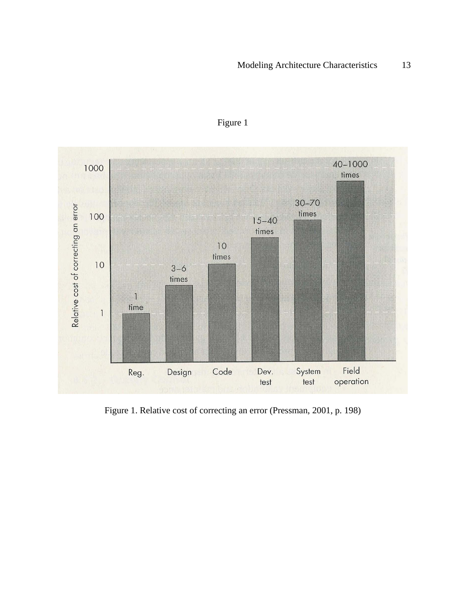

Figure 1

Figure 1. Relative cost of correcting an error (Pressman, 2001, p. 198)